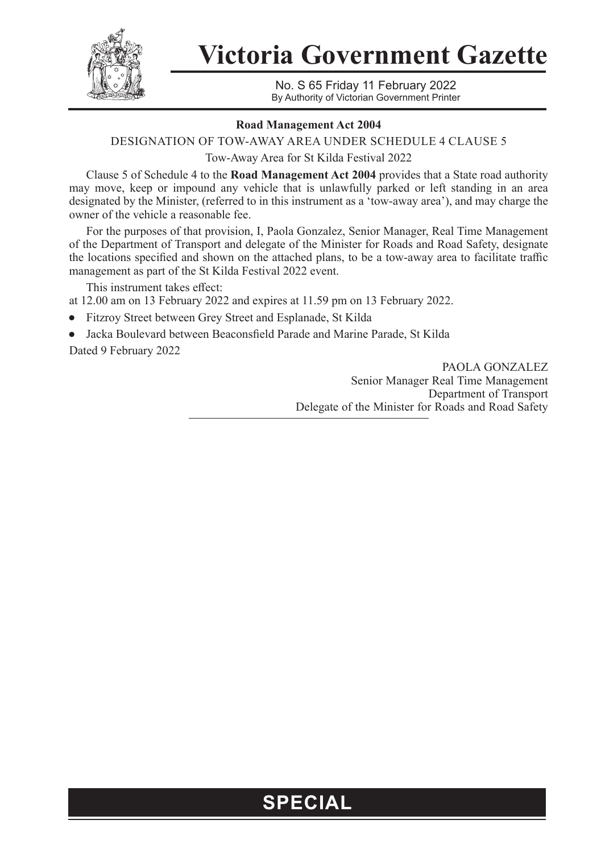

**Victoria Government Gazette**

No. S 65 Friday 11 February 2022 By Authority of Victorian Government Printer

## **Road Management Act 2004**

DESIGNATION OF TOW-AWAY AREA UNDER SCHEDULE 4 CLAUSE 5

Tow-Away Area for St Kilda Festival 2022

Clause 5 of Schedule 4 to the **Road Management Act 2004** provides that a State road authority may move, keep or impound any vehicle that is unlawfully parked or left standing in an area designated by the Minister, (referred to in this instrument as a 'tow-away area'), and may charge the owner of the vehicle a reasonable fee.

For the purposes of that provision, I, Paola Gonzalez, Senior Manager, Real Time Management of the Department of Transport and delegate of the Minister for Roads and Road Safety, designate the locations specified and shown on the attached plans, to be a tow-away area to facilitate traffic management as part of the St Kilda Festival 2022 event.

This instrument takes effect:

at 12.00 am on 13 February 2022 and expires at 11.59 pm on 13 February 2022.

- Fitzroy Street between Grey Street and Esplanade, St Kilda
- Jacka Boulevard between Beaconsfield Parade and Marine Parade, St Kilda

Dated 9 February 2022

PAOLA GONZALEZ Senior Manager Real Time Management Department of Transport Delegate of the Minister for Roads and Road Safety

## **SPECIAL**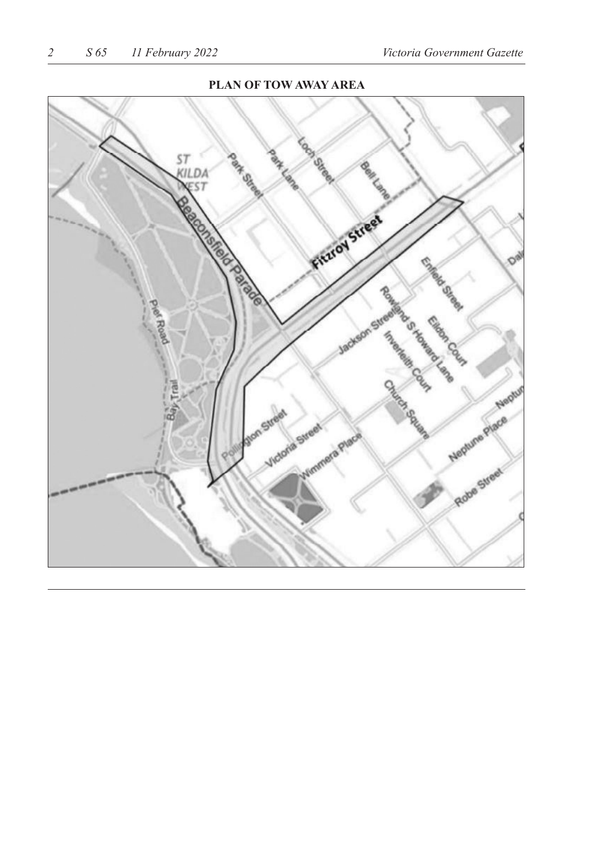## **PLAN OF TOW AWAY AREA**

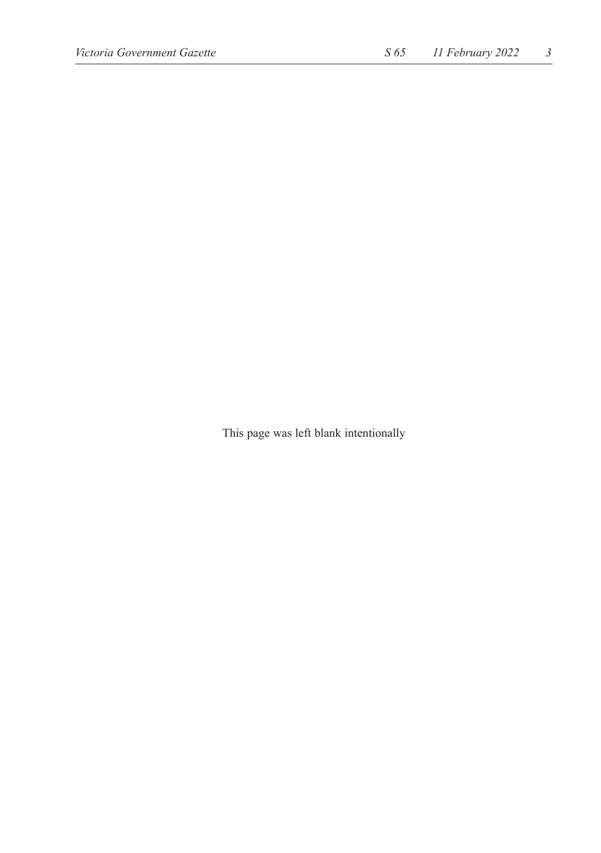This page was left blank intentionally